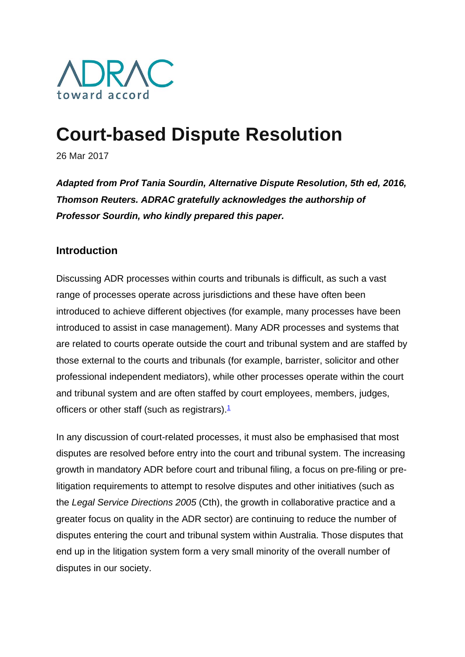

# **Court-based Dispute Resolution**

26 Mar 2017

*Adapted from Prof Tania Sourdin, Alternative Dispute Resolution, 5th ed, 2016, Thomson Reuters. ADRAC gratefully acknowledges the authorship of Professor Sourdin, who kindly prepared this paper.*

## **Introduction**

Discussing ADR processes within courts and tribunals is difficult, as such a vast range of processes operate across jurisdictions and these have often been introduced to achieve different objectives (for example, many processes have been introduced to assist in case management). Many ADR processes and systems that are related to courts operate outside the court and tribunal system and are staffed by those external to the courts and tribunals (for example, barrister, solicitor and other professional independent mediators), while other processes operate within the court and tribunal system and are often staffed by court employees, members, judges, officers or other staff (such as registrars). $1$ 

In any discussion of court-related processes, it must also be emphasised that most disputes are resolved before entry into the court and tribunal system. The increasing growth in mandatory ADR before court and tribunal filing, a focus on pre-filing or prelitigation requirements to attempt to resolve disputes and other initiatives (such as the *Legal Service Directions 2005* (Cth), the growth in collaborative practice and a greater focus on quality in the ADR sector) are continuing to reduce the number of disputes entering the court and tribunal system within Australia. Those disputes that end up in the litigation system form a very small minority of the overall number of disputes in our society.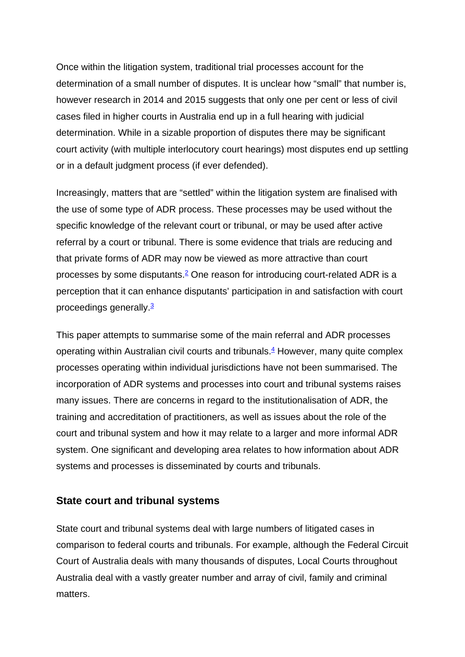Once within the litigation system, traditional trial processes account for the determination of a small number of disputes. It is unclear how "small" that number is, however research in 2014 and 2015 suggests that only one per cent or less of civil cases filed in higher courts in Australia end up in a full hearing with judicial determination. While in a sizable proportion of disputes there may be significant court activity (with multiple interlocutory court hearings) most disputes end up settling or in a default judgment process (if ever defended).

Increasingly, matters that are "settled" within the litigation system are finalised with the use of some type of ADR process. These processes may be used without the specific knowledge of the relevant court or tribunal, or may be used after active referral by a court or tribunal. There is some evidence that trials are reducing and that private forms of ADR may now be viewed as more attractive than court processes by some disputants.<sup>2</sup> One reason for introducing court-related ADR is a perception that it can enhance disputants' participation in and satisfaction with court proceedings generally.3

This paper attempts to summarise some of the main referral and ADR processes operating within Australian civil courts and tribunals. $4$  However, many quite complex processes operating within individual jurisdictions have not been summarised. The incorporation of ADR systems and processes into court and tribunal systems raises many issues. There are concerns in regard to the institutionalisation of ADR, the training and accreditation of practitioners, as well as issues about the role of the court and tribunal system and how it may relate to a larger and more informal ADR system. One significant and developing area relates to how information about ADR systems and processes is disseminated by courts and tribunals.

## **State court and tribunal systems**

State court and tribunal systems deal with large numbers of litigated cases in comparison to federal courts and tribunals. For example, although the Federal Circuit Court of Australia deals with many thousands of disputes, Local Courts throughout Australia deal with a vastly greater number and array of civil, family and criminal matters.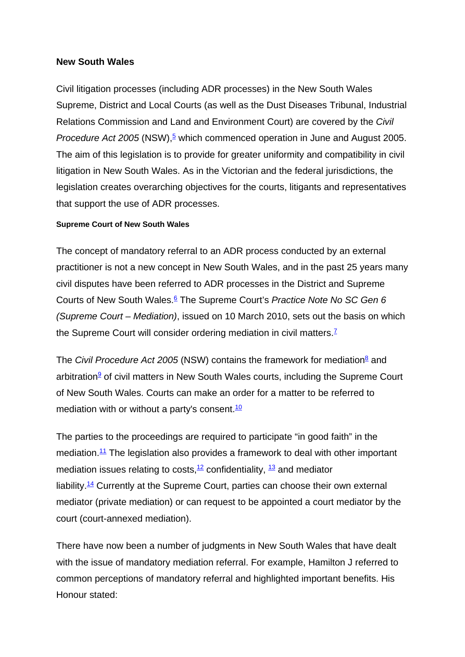## **New South Wales**

Civil litigation processes (including ADR processes) in the New South Wales Supreme, District and Local Courts (as well as the Dust Diseases Tribunal, Industrial Relations Commission and Land and Environment Court) are covered by the *Civil Procedure Act 2005* (NSW),<sup>5</sup> which commenced operation in June and August 2005. The aim of this legislation is to provide for greater uniformity and compatibility in civil litigation in New South Wales. As in the Victorian and the federal jurisdictions, the legislation creates overarching objectives for the courts, litigants and representatives that support the use of ADR processes.

#### **Supreme Court of New South Wales**

The concept of mandatory referral to an ADR process conducted by an external practitioner is not a new concept in New South Wales, and in the past 25 years many civil disputes have been referred to ADR processes in the District and Supreme Courts of New South Wales.6 The Supreme Court's *Practice Note No SC Gen 6 (Supreme Court – Mediation)*, issued on 10 March 2010, sets out the basis on which the Supreme Court will consider ordering mediation in civil matters.<sup> $7$ </sup>

The *Civil Procedure Act 2005* (NSW) contains the framework for mediation<sup>8</sup> and arbitration<sup>9</sup> of civil matters in New South Wales courts, including the Supreme Court of New South Wales. Courts can make an order for a matter to be referred to mediation with or without a party's consent. $10$ 

The parties to the proceedings are required to participate "in good faith" in the mediation.<sup>11</sup> The legislation also provides a framework to deal with other important mediation issues relating to costs,  $12$  confidentiality,  $13$  and mediator liability.<sup>14</sup> Currently at the Supreme Court, parties can choose their own external mediator (private mediation) or can request to be appointed a court mediator by the court (court-annexed mediation).

There have now been a number of judgments in New South Wales that have dealt with the issue of mandatory mediation referral. For example, Hamilton J referred to common perceptions of mandatory referral and highlighted important benefits. His Honour stated: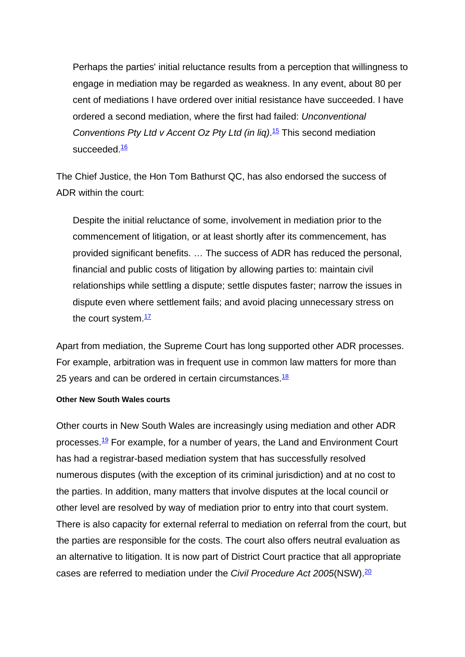Perhaps the parties' initial reluctance results from a perception that willingness to engage in mediation may be regarded as weakness. In any event, about 80 per cent of mediations I have ordered over initial resistance have succeeded. I have ordered a second mediation, where the first had failed: *Unconventional Conventions Pty Ltd v Accent Oz Pty Ltd (in liq)*. <sup>15</sup> This second mediation succeeded.<sup>16</sup>

The Chief Justice, the Hon Tom Bathurst QC, has also endorsed the success of ADR within the court:

Despite the initial reluctance of some, involvement in mediation prior to the commencement of litigation, or at least shortly after its commencement, has provided significant benefits. … The success of ADR has reduced the personal, financial and public costs of litigation by allowing parties to: maintain civil relationships while settling a dispute; settle disputes faster; narrow the issues in dispute even where settlement fails; and avoid placing unnecessary stress on the court system  $\frac{17}{1}$ 

Apart from mediation, the Supreme Court has long supported other ADR processes. For example, arbitration was in frequent use in common law matters for more than 25 years and can be ordered in certain circumstances. $18$ 

#### **Other New South Wales courts**

Other courts in New South Wales are increasingly using mediation and other ADR processes.<sup>19</sup> For example, for a number of years, the Land and Environment Court has had a registrar-based mediation system that has successfully resolved numerous disputes (with the exception of its criminal jurisdiction) and at no cost to the parties. In addition, many matters that involve disputes at the local council or other level are resolved by way of mediation prior to entry into that court system. There is also capacity for external referral to mediation on referral from the court, but the parties are responsible for the costs. The court also offers neutral evaluation as an alternative to litigation. It is now part of District Court practice that all appropriate cases are referred to mediation under the *Civil Procedure Act 2005*(NSW).<sup>20</sup>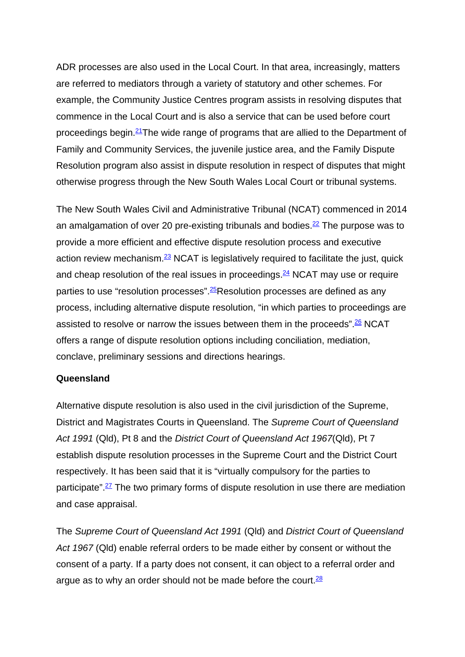ADR processes are also used in the Local Court. In that area, increasingly, matters are referred to mediators through a variety of statutory and other schemes. For example, the Community Justice Centres program assists in resolving disputes that commence in the Local Court and is also a service that can be used before court proceedings begin.21The wide range of programs that are allied to the Department of Family and Community Services, the juvenile justice area, and the Family Dispute Resolution program also assist in dispute resolution in respect of disputes that might otherwise progress through the New South Wales Local Court or tribunal systems.

The New South Wales Civil and Administrative Tribunal (NCAT) commenced in 2014 an amalgamation of over 20 pre-existing tribunals and bodies. $^{22}$  The purpose was to provide a more efficient and effective dispute resolution process and executive action review mechanism. $23$  NCAT is legislatively required to facilitate the just, quick and cheap resolution of the real issues in proceedings.  $\frac{24}{3}$  NCAT may use or require parties to use "resolution processes".<sup>25</sup>Resolution processes are defined as any process, including alternative dispute resolution, "in which parties to proceedings are assisted to resolve or narrow the issues between them in the proceeds".  $\frac{26}{10}$  NCAT offers a range of dispute resolution options including conciliation, mediation, conclave, preliminary sessions and directions hearings.

## **Queensland**

Alternative dispute resolution is also used in the civil jurisdiction of the Supreme, District and Magistrates Courts in Queensland. The *Supreme Court of Queensland Act 1991* (Qld), Pt 8 and the *District Court of Queensland Act 1967*(Qld), Pt 7 establish dispute resolution processes in the Supreme Court and the District Court respectively. It has been said that it is "virtually compulsory for the parties to participate".<sup>27</sup> The two primary forms of dispute resolution in use there are mediation and case appraisal.

The *Supreme Court of Queensland Act 1991* (Qld) and *District Court of Queensland Act 1967* (Qld) enable referral orders to be made either by consent or without the consent of a party. If a party does not consent, it can object to a referral order and argue as to why an order should not be made before the court.  $28$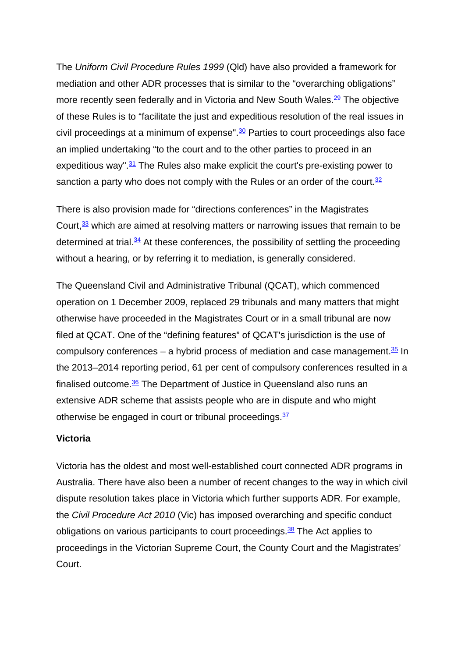The *Uniform Civil Procedure Rules 1999* (Qld) have also provided a framework for mediation and other ADR processes that is similar to the "overarching obligations" more recently seen federally and in Victoria and New South Wales.<sup>29</sup> The objective of these Rules is to "facilitate the just and expeditious resolution of the real issues in civil proceedings at a minimum of expense". $\frac{30}{2}$  Parties to court proceedings also face an implied undertaking "to the court and to the other parties to proceed in an expeditious way". $31$  The Rules also make explicit the court's pre-existing power to sanction a party who does not comply with the Rules or an order of the court.<sup>32</sup>

There is also provision made for "directions conferences" in the Magistrates Court,  $\frac{33}{10}$  which are aimed at resolving matters or narrowing issues that remain to be determined at trial. $34$  At these conferences, the possibility of settling the proceeding without a hearing, or by referring it to mediation, is generally considered.

The Queensland Civil and Administrative Tribunal (QCAT), which commenced operation on 1 December 2009, replaced 29 tribunals and many matters that might otherwise have proceeded in the Magistrates Court or in a small tribunal are now filed at QCAT. One of the "defining features" of QCAT's jurisdiction is the use of compulsory conferences – a hybrid process of mediation and case management. $\frac{35}{2}$  In the 2013–2014 reporting period, 61 per cent of compulsory conferences resulted in a finalised outcome.<sup>36</sup> The Department of Justice in Queensland also runs an extensive ADR scheme that assists people who are in dispute and who might otherwise be engaged in court or tribunal proceedings. $37$ 

## **Victoria**

Victoria has the oldest and most well-established court connected ADR programs in Australia. There have also been a number of recent changes to the way in which civil dispute resolution takes place in Victoria which further supports ADR. For example, the *Civil Procedure Act 2010* (Vic) has imposed overarching and specific conduct obligations on various participants to court proceedings. $\frac{38}{2}$  The Act applies to proceedings in the Victorian Supreme Court, the County Court and the Magistrates' Court.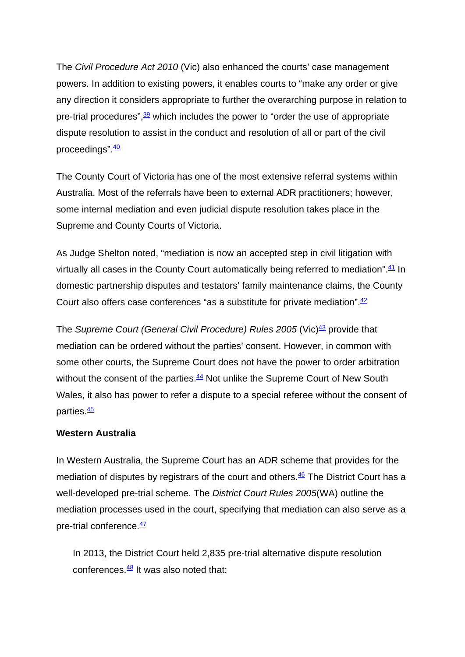The *Civil Procedure Act 2010* (Vic) also enhanced the courts' case management powers. In addition to existing powers, it enables courts to "make any order or give any direction it considers appropriate to further the overarching purpose in relation to pre-trial procedures",  $\frac{39}{2}$  which includes the power to "order the use of appropriate dispute resolution to assist in the conduct and resolution of all or part of the civil proceedings".  $\frac{40}{1}$ 

The County Court of Victoria has one of the most extensive referral systems within Australia. Most of the referrals have been to external ADR practitioners; however, some internal mediation and even judicial dispute resolution takes place in the Supreme and County Courts of Victoria.

As Judge Shelton noted, "mediation is now an accepted step in civil litigation with virtually all cases in the County Court automatically being referred to mediation".<sup>41</sup> In domestic partnership disputes and testators' family maintenance claims, the County Court also offers case conferences "as a substitute for private mediation". $\frac{42}{5}$ 

The *Supreme Court (General Civil Procedure) Rules 2005* (Vic)<sup>43</sup> provide that mediation can be ordered without the parties' consent. However, in common with some other courts, the Supreme Court does not have the power to order arbitration without the consent of the parties. $44$  Not unlike the Supreme Court of New South Wales, it also has power to refer a dispute to a special referee without the consent of parties.<sup>45</sup>

## **Western Australia**

In Western Australia, the Supreme Court has an ADR scheme that provides for the mediation of disputes by registrars of the court and others.<sup>46</sup> The District Court has a well-developed pre-trial scheme. The *District Court Rules 2005*(WA) outline the mediation processes used in the court, specifying that mediation can also serve as a pre-trial conference.  $\frac{47}{1}$ 

In 2013, the District Court held 2,835 pre-trial alternative dispute resolution conferences  $\frac{48}{11}$  It was also noted that: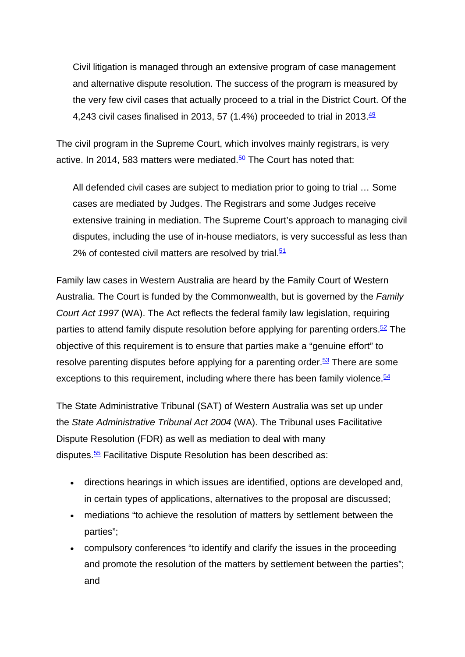Civil litigation is managed through an extensive program of case management and alternative dispute resolution. The success of the program is measured by the very few civil cases that actually proceed to a trial in the District Court. Of the 4,243 civil cases finalised in 2013, 57 (1.4%) proceeded to trial in 2013. $\frac{49}{1}$ 

The civil program in the Supreme Court, which involves mainly registrars, is very active. In 2014, 583 matters were mediated. $50$  The Court has noted that:

All defended civil cases are subject to mediation prior to going to trial … Some cases are mediated by Judges. The Registrars and some Judges receive extensive training in mediation. The Supreme Court's approach to managing civil disputes, including the use of in-house mediators, is very successful as less than 2% of contested civil matters are resolved by trial. $51$ 

Family law cases in Western Australia are heard by the Family Court of Western Australia. The Court is funded by the Commonwealth, but is governed by the *Family Court Act 1997* (WA). The Act reflects the federal family law legislation, requiring parties to attend family dispute resolution before applying for parenting orders.<sup>52</sup> The objective of this requirement is to ensure that parties make a "genuine effort" to resolve parenting disputes before applying for a parenting order. $53$  There are some exceptions to this requirement, including where there has been family violence.  $54$ 

The State Administrative Tribunal (SAT) of Western Australia was set up under the *State Administrative Tribunal Act 2004* (WA). The Tribunal uses Facilitative Dispute Resolution (FDR) as well as mediation to deal with many disputes.<sup>55</sup> Facilitative Dispute Resolution has been described as:

- directions hearings in which issues are identified, options are developed and, in certain types of applications, alternatives to the proposal are discussed;
- mediations "to achieve the resolution of matters by settlement between the parties";
- compulsory conferences "to identify and clarify the issues in the proceeding and promote the resolution of the matters by settlement between the parties"; and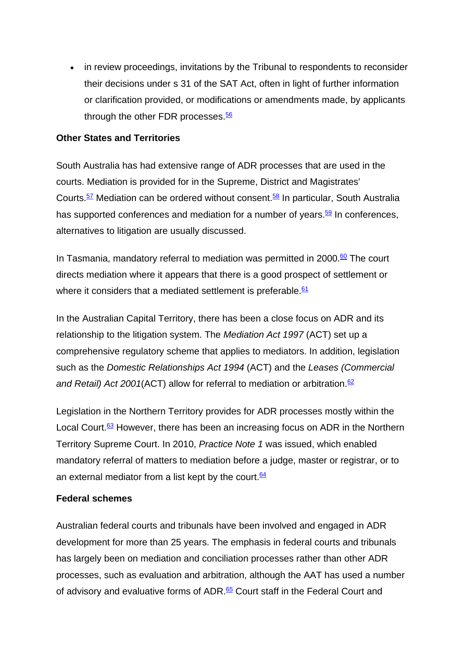• in review proceedings, invitations by the Tribunal to respondents to reconsider their decisions under s 31 of the SAT Act, often in light of further information or clarification provided, or modifications or amendments made, by applicants through the other FDR processes. $56$ 

## **Other States and Territories**

South Australia has had extensive range of ADR processes that are used in the courts. Mediation is provided for in the Supreme, District and Magistrates' Courts.<sup>57</sup> Mediation can be ordered without consent.<sup>58</sup> In particular, South Australia has supported conferences and mediation for a number of years. $\frac{59}{2}$  In conferences, alternatives to litigation are usually discussed.

In Tasmania, mandatory referral to mediation was permitted in 2000.<sup>60</sup> The court directs mediation where it appears that there is a good prospect of settlement or where it considers that a mediated settlement is preferable.  $61$ 

In the Australian Capital Territory, there has been a close focus on ADR and its relationship to the litigation system. The *Mediation Act 1997* (ACT) set up a comprehensive regulatory scheme that applies to mediators. In addition, legislation such as the *Domestic Relationships Act 1994* (ACT) and the *Leases (Commercial*  and Retail) Act 2001(ACT) allow for referral to mediation or arbitration.<sup>62</sup>

Legislation in the Northern Territory provides for ADR processes mostly within the Local Court.<sup>63</sup> However, there has been an increasing focus on ADR in the Northern Territory Supreme Court. In 2010, *Practice Note 1* was issued, which enabled mandatory referral of matters to mediation before a judge, master or registrar, or to an external mediator from a list kept by the court.  $64$ 

## **Federal schemes**

Australian federal courts and tribunals have been involved and engaged in ADR development for more than 25 years. The emphasis in federal courts and tribunals has largely been on mediation and conciliation processes rather than other ADR processes, such as evaluation and arbitration, although the AAT has used a number of advisory and evaluative forms of ADR.<sup>65</sup> Court staff in the Federal Court and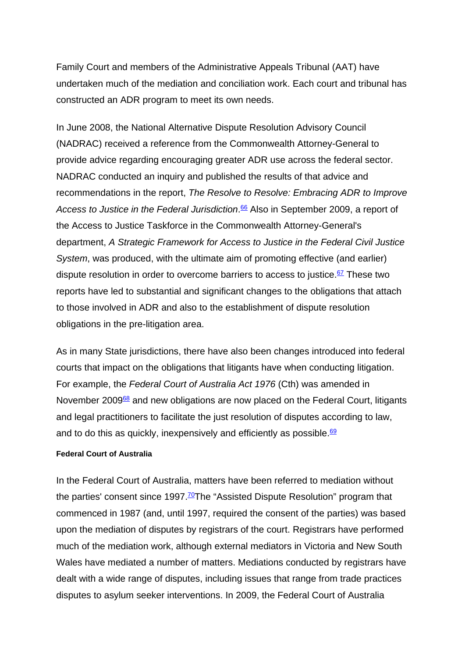Family Court and members of the Administrative Appeals Tribunal (AAT) have undertaken much of the mediation and conciliation work. Each court and tribunal has constructed an ADR program to meet its own needs.

In June 2008, the National Alternative Dispute Resolution Advisory Council (NADRAC) received a reference from the Commonwealth Attorney-General to provide advice regarding encouraging greater ADR use across the federal sector. NADRAC conducted an inquiry and published the results of that advice and recommendations in the report, *The Resolve to Resolve: Embracing ADR to Improve Access to Justice in the Federal Jurisdiction*. <sup>66</sup> Also in September 2009, a report of the Access to Justice Taskforce in the Commonwealth Attorney-General's department, *A Strategic Framework for Access to Justice in the Federal Civil Justice System*, was produced, with the ultimate aim of promoting effective (and earlier) dispute resolution in order to overcome barriers to access to justice. $67$  These two reports have led to substantial and significant changes to the obligations that attach to those involved in ADR and also to the establishment of dispute resolution obligations in the pre-litigation area.

As in many State jurisdictions, there have also been changes introduced into federal courts that impact on the obligations that litigants have when conducting litigation. For example, the *Federal Court of Australia Act 1976* (Cth) was amended in November 2009<sup>68</sup> and new obligations are now placed on the Federal Court, litigants and legal practitioners to facilitate the just resolution of disputes according to law, and to do this as quickly, inexpensively and efficiently as possible. $69$ 

### **Federal Court of Australia**

In the Federal Court of Australia, matters have been referred to mediation without the parties' consent since  $1997 \cdot \frac{70}{2}$ The "Assisted Dispute Resolution" program that commenced in 1987 (and, until 1997, required the consent of the parties) was based upon the mediation of disputes by registrars of the court. Registrars have performed much of the mediation work, although external mediators in Victoria and New South Wales have mediated a number of matters. Mediations conducted by registrars have dealt with a wide range of disputes, including issues that range from trade practices disputes to asylum seeker interventions. In 2009, the Federal Court of Australia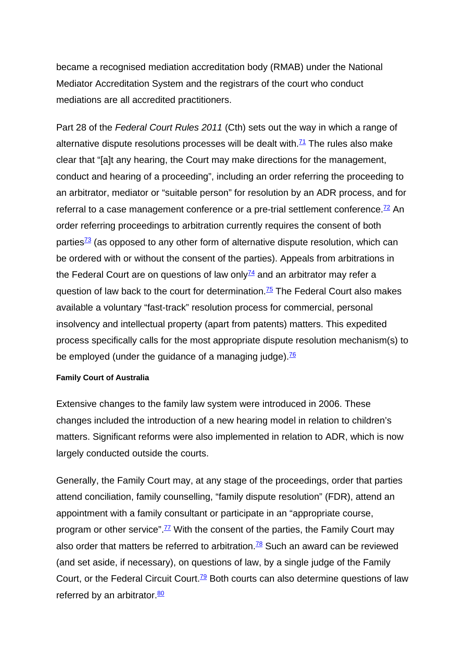became a recognised mediation accreditation body (RMAB) under the National Mediator Accreditation System and the registrars of the court who conduct mediations are all accredited practitioners.

Part 28 of the *Federal Court Rules 2011* (Cth) sets out the way in which a range of alternative dispute resolutions processes will be dealt with. $71$  The rules also make clear that "[a]t any hearing, the Court may make directions for the management, conduct and hearing of a proceeding", including an order referring the proceeding to an arbitrator, mediator or "suitable person" for resolution by an ADR process, and for referral to a case management conference or a pre-trial settlement conference. $\frac{72}{2}$  An order referring proceedings to arbitration currently requires the consent of both parties $\frac{73}{3}$  (as opposed to any other form of alternative dispute resolution, which can be ordered with or without the consent of the parties). Appeals from arbitrations in the Federal Court are on questions of law only $\frac{74}{1}$  and an arbitrator may refer a question of law back to the court for determination.<sup>75</sup> The Federal Court also makes available a voluntary "fast-track" resolution process for commercial, personal insolvency and intellectual property (apart from patents) matters. This expedited process specifically calls for the most appropriate dispute resolution mechanism(s) to be employed (under the guidance of a managing judge). $\frac{76}{6}$ 

### **Family Court of Australia**

Extensive changes to the family law system were introduced in 2006. These changes included the introduction of a new hearing model in relation to children's matters. Significant reforms were also implemented in relation to ADR, which is now largely conducted outside the courts.

Generally, the Family Court may, at any stage of the proceedings, order that parties attend conciliation, family counselling, "family dispute resolution" (FDR), attend an appointment with a family consultant or participate in an "appropriate course, program or other service".<sup>77</sup> With the consent of the parties, the Family Court may also order that matters be referred to arbitration.<sup>78</sup> Such an award can be reviewed (and set aside, if necessary), on questions of law, by a single judge of the Family Court, or the Federal Circuit Court.<sup>79</sup> Both courts can also determine questions of law referred by an arbitrator. $\frac{80}{2}$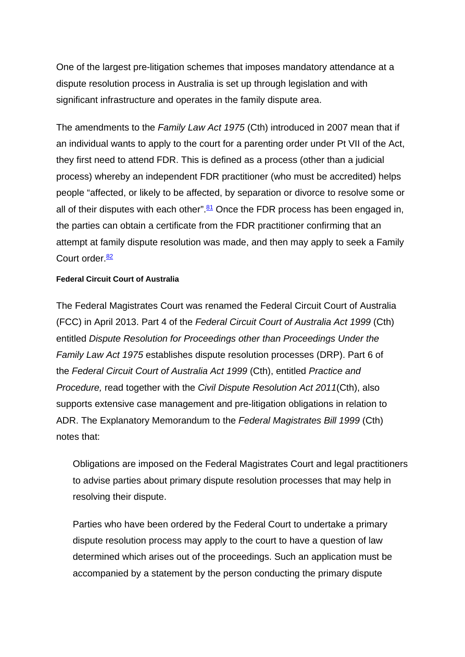One of the largest pre-litigation schemes that imposes mandatory attendance at a dispute resolution process in Australia is set up through legislation and with significant infrastructure and operates in the family dispute area.

The amendments to the *Family Law Act 1975* (Cth) introduced in 2007 mean that if an individual wants to apply to the court for a parenting order under Pt VII of the Act, they first need to attend FDR. This is defined as a process (other than a judicial process) whereby an independent FDR practitioner (who must be accredited) helps people "affected, or likely to be affected, by separation or divorce to resolve some or all of their disputes with each other". $81$  Once the FDR process has been engaged in, the parties can obtain a certificate from the FDR practitioner confirming that an attempt at family dispute resolution was made, and then may apply to seek a Family Court order. $\frac{82}{ }$ 

#### **Federal Circuit Court of Australia**

The Federal Magistrates Court was renamed the Federal Circuit Court of Australia (FCC) in April 2013. Part 4 of the *Federal Circuit Court of Australia Act 1999* (Cth) entitled *Dispute Resolution for Proceedings other than Proceedings Under the Family Law Act 1975* establishes dispute resolution processes (DRP). Part 6 of the *Federal Circuit Court of Australia Act 1999* (Cth), entitled *Practice and Procedure,* read together with the *Civil Dispute Resolution Act 2011*(Cth), also supports extensive case management and pre-litigation obligations in relation to ADR. The Explanatory Memorandum to the *Federal Magistrates Bill 1999* (Cth) notes that:

Obligations are imposed on the Federal Magistrates Court and legal practitioners to advise parties about primary dispute resolution processes that may help in resolving their dispute.

Parties who have been ordered by the Federal Court to undertake a primary dispute resolution process may apply to the court to have a question of law determined which arises out of the proceedings. Such an application must be accompanied by a statement by the person conducting the primary dispute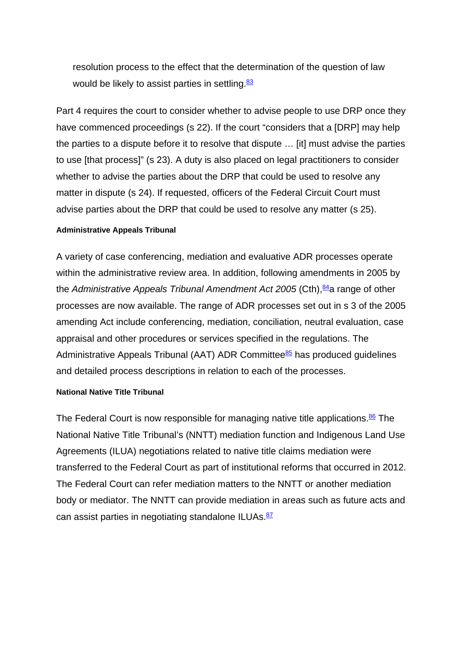resolution process to the effect that the determination of the question of law would be likely to assist parties in settling. $83$ 

Part 4 requires the court to consider whether to advise people to use DRP once they have commenced proceedings (s 22). If the court "considers that a [DRP] may help the parties to a dispute before it to resolve that dispute … [it] must advise the parties to use [that process]" (s 23). A duty is also placed on legal practitioners to consider whether to advise the parties about the DRP that could be used to resolve any matter in dispute (s 24). If requested, officers of the Federal Circuit Court must advise parties about the DRP that could be used to resolve any matter (s 25).

#### **Administrative Appeals Tribunal**

A variety of case conferencing, mediation and evaluative ADR processes operate within the administrative review area. In addition, following amendments in 2005 by the *Administrative Appeals Tribunal Amendment Act 2005* (Cth),<sup>84</sup>a range of other processes are now available. The range of ADR processes set out in s 3 of the 2005 amending Act include conferencing, mediation, conciliation, neutral evaluation, case appraisal and other procedures or services specified in the regulations. The Administrative Appeals Tribunal (AAT) ADR Committee $85$  has produced guidelines and detailed process descriptions in relation to each of the processes.

#### **National Native Title Tribunal**

The Federal Court is now responsible for managing native title applications.<sup>86</sup> The National Native Title Tribunal's (NNTT) mediation function and Indigenous Land Use Agreements (ILUA) negotiations related to native title claims mediation were transferred to the Federal Court as part of institutional reforms that occurred in 2012. The Federal Court can refer mediation matters to the NNTT or another mediation body or mediator. The NNTT can provide mediation in areas such as future acts and can assist parties in negotiating standalone ILUAs.<sup>87</sup>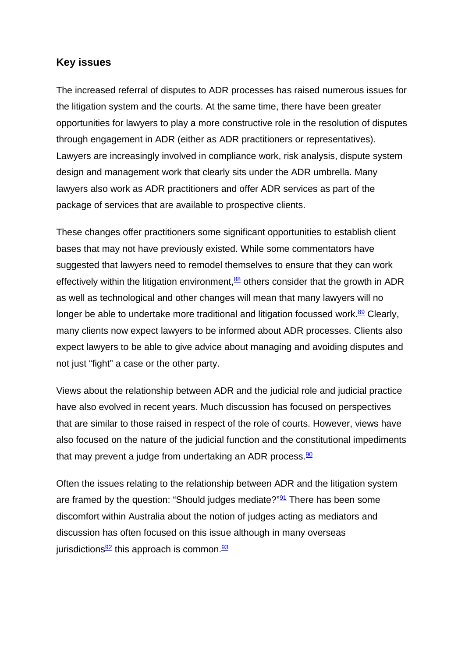## **Key issues**

The increased referral of disputes to ADR processes has raised numerous issues for the litigation system and the courts. At the same time, there have been greater opportunities for lawyers to play a more constructive role in the resolution of disputes through engagement in ADR (either as ADR practitioners or representatives). Lawyers are increasingly involved in compliance work, risk analysis, dispute system design and management work that clearly sits under the ADR umbrella. Many lawyers also work as ADR practitioners and offer ADR services as part of the package of services that are available to prospective clients.

These changes offer practitioners some significant opportunities to establish client bases that may not have previously existed. While some commentators have suggested that lawyers need to remodel themselves to ensure that they can work effectively within the litigation environment, $\frac{88}{3}$  others consider that the growth in ADR as well as technological and other changes will mean that many lawyers will no longer be able to undertake more traditional and litigation focussed work. $89$  Clearly, many clients now expect lawyers to be informed about ADR processes. Clients also expect lawyers to be able to give advice about managing and avoiding disputes and not just "fight" a case or the other party.

Views about the relationship between ADR and the judicial role and judicial practice have also evolved in recent years. Much discussion has focused on perspectives that are similar to those raised in respect of the role of courts. However, views have also focused on the nature of the judicial function and the constitutional impediments that may prevent a judge from undertaking an ADR process. $\frac{90}{2}$ 

Often the issues relating to the relationship between ADR and the litigation system are framed by the question: "Should judges mediate?"<sup>91</sup> There has been some discomfort within Australia about the notion of judges acting as mediators and discussion has often focused on this issue although in many overseas jurisdictions $\frac{92}{2}$  this approach is common.  $\frac{93}{2}$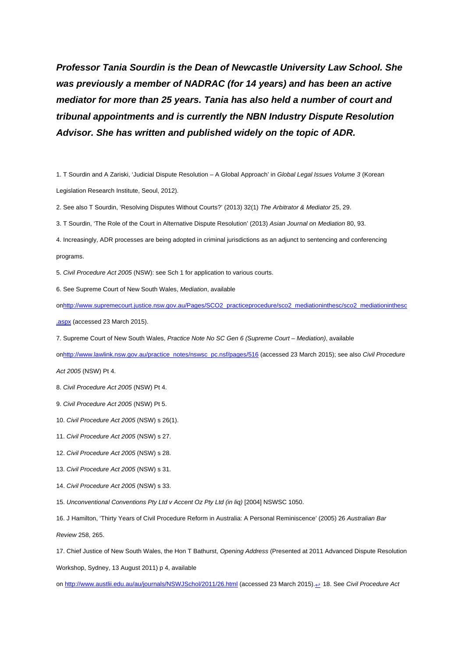*Professor Tania Sourdin is the Dean of Newcastle University Law School. She was previously a member of NADRAC (for 14 years) and has been an active mediator for more than 25 years. Tania has also held a number of court and tribunal appointments and is currently the NBN Industry Dispute Resolution Advisor. She has written and published widely on the topic of ADR.*

1. T Sourdin and A Zariski, 'Judicial Dispute Resolution – A Global Approach' in *Global Legal Issues Volume 3* (Korean Legislation Research Institute, Seoul, 2012).

2. See also T Sourdin, 'Resolving Disputes Without Courts?' (2013) 32(1) *The Arbitrator & Mediator* 25, 29.

3. T Sourdin, 'The Role of the Court in Alternative Dispute Resolution' (2013) *Asian Journal on Mediation* 80, 93.

4. Increasingly, ADR processes are being adopted in criminal jurisdictions as an adjunct to sentencing and conferencing programs.

5. *Civil Procedure Act 2005* (NSW): see Sch 1 for application to various courts.

6. See Supreme Court of New South Wales, *Mediation*, available

o[nhttp://www.supremecourt.justice.nsw.gov.au/Pages/SCO2\\_practiceprocedure/sco2\\_mediationinthesc/sco2\\_mediationinthesc](http://www.supremecourt.justice.nsw.gov.au/Pages/SCO2_practiceprocedure/sco2_mediationinthesc/sco2_mediationinthesc.aspx)

[.aspx](http://www.supremecourt.justice.nsw.gov.au/Pages/SCO2_practiceprocedure/sco2_mediationinthesc/sco2_mediationinthesc.aspx) (accessed 23 March 2015).

7. Supreme Court of New South Wales, *Practice Note No SC Gen 6 (Supreme Court – Mediation)*, available

o[nhttp://www.lawlink.nsw.gov.au/practice\\_notes/nswsc\\_pc.nsf/pages/516 \(](http://www.lawlink.nsw.gov.au/practice_notes/nswsc_pc.nsf/pages/516)accessed 23 March 2015); see also *Civil Procedure* 

*Act 2005* (NSW) Pt 4.

8. *Civil Procedure Act 2005* (NSW) Pt 4.

9. *Civil Procedure Act 2005* (NSW) Pt 5.

- 10. *Civil Procedure Act 2005* (NSW) s 26(1).
- 11. *Civil Procedure Act 2005* (NSW) s 27.
- 12. *Civil Procedure Act 2005* (NSW) s 28.
- 13. *Civil Procedure Act 2005* (NSW) s 31.
- 14. *Civil Procedure Act 2005* (NSW) s 33.
- 15. *Unconventional Conventions Pty Ltd v Accent Oz Pty Ltd (in liq)* [2004] NSWSC 1050.
- 16. J Hamilton, 'Thirty Years of Civil Procedure Reform in Australia: A Personal Reminiscence' (2005) 26 *Australian Bar*

*Review* 258, 265.

17. Chief Justice of New South Wales, the Hon T Bathurst, *Opening Address* (Presented at 2011 Advanced Dispute Resolution Workshop, Sydney, 13 August 2011) p 4, available

on [http://www.austlii.edu.au/au/journals/NSWJSchol/2011/26.html \(](http://www.austlii.edu.au/au/journals/NSWJSchol/2011/26.html)accessed 23 March 2015).[↩](http://www.adrac.org.au/adr-mapping/court-based-dispute-resolution#mark17) 18. See *Civil Procedure Act*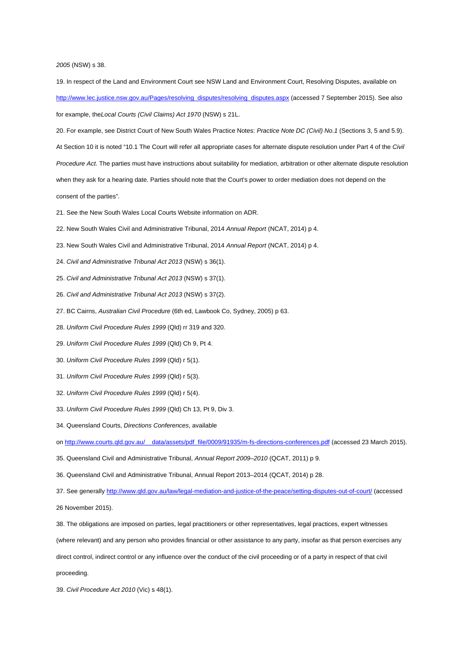#### *2005* (NSW) s 38.

19. In respect of the Land and Environment Court see NSW Land and Environment Court, Resolving Disputes, available on [http://www.lec.justice.nsw.gov.au/Pages/resolving\\_disputes/resolving\\_disputes.aspx \(](http://www.lec.justice.nsw.gov.au/Pages/resolving_disputes/resolving_disputes.aspx)accessed 7 September 2015). See also for example, the*Local Courts (Civil Claims) Act 1970* (NSW) s 21L.

20. For example, see District Court of New South Wales Practice Notes: *Practice Note DC (Civil) No.1* (Sections 3, 5 and 5.9). At Section 10 it is noted "10.1 The Court will refer all appropriate cases for alternate dispute resolution under Part 4 of the *Civil* 

*Procedure Act*. The parties must have instructions about suitability for mediation, arbitration or other alternate dispute resolution when they ask for a hearing date. Parties should note that the Court's power to order mediation does not depend on the consent of the parties".

- 21. See the New South Wales Local Courts Website information on ADR.
- 22. New South Wales Civil and Administrative Tribunal, 2014 *Annual Report* (NCAT, 2014) p 4.
- 23. New South Wales Civil and Administrative Tribunal, 2014 *Annual Report* (NCAT, 2014) p 4.
- 24. *Civil and Administrative Tribunal Act 2013* (NSW) s 36(1).
- 25. *Civil and Administrative Tribunal Act 2013* (NSW) s 37(1).
- 26. *Civil and Administrative Tribunal Act 2013* (NSW) s 37(2).
- 27. BC Cairns, *Australian Civil Procedure* (6th ed, Lawbook Co, Sydney, 2005) p 63.
- 28. *Uniform Civil Procedure Rules 1999* (Qld) rr 319 and 320.
- 29. *Uniform Civil Procedure Rules 1999* (Qld) Ch 9, Pt 4.
- 30. *Uniform Civil Procedure Rules 1999* (Qld) r 5(1).
- 31. *Uniform Civil Procedure Rules 1999* (Qld) r 5(3).
- 32. *Uniform Civil Procedure Rules 1999* (Qld) r 5(4).
- 33. *Uniform Civil Procedure Rules 1999* (Qld) Ch 13, Pt 9, Div 3.
- 34. Queensland Courts, *Directions Conferences*, available

on [http://www.courts.qld.gov.au/\\_\\_data/assets/pdf\\_file/0009/91935/m-fs-directions-conferences.pdf \(](http://www.courts.qld.gov.au/__data/assets/pdf_file/0009/91935/m-fs-directions-conferences.pdf)accessed 23 March 2015).

- 35. Queensland Civil and Administrative Tribunal, *Annual Report 2009–2010* (QCAT, 2011) p 9.
- 36. Queensland Civil and Administrative Tribunal, Annual Report 2013–2014 (QCAT, 2014) p 28.
- 37. See generall[y http://www.qld.gov.au/law/legal-mediation-and-justice-of-the-peace/setting-disputes-out-of-court/](http://www.qld.gov.au/law/legal-mediation-and-justice-of-the-peace/setting-disputes-out-of-court/) (accessed

26 November 2015).

- 38. The obligations are imposed on parties, legal practitioners or other representatives, legal practices, expert witnesses
- (where relevant) and any person who provides financial or other assistance to any party, insofar as that person exercises any

direct control, indirect control or any influence over the conduct of the civil proceeding or of a party in respect of that civil

proceeding.

39. *Civil Procedure Act 2010* (Vic) s 48(1).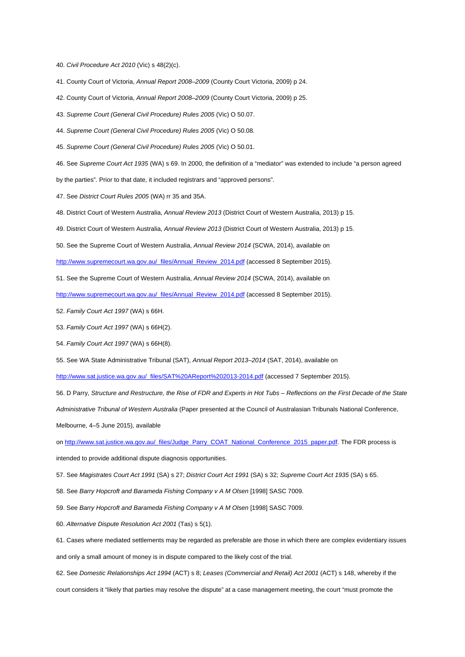40. *Civil Procedure Act 2010* (Vic) s 48(2)(c).

41. County Court of Victoria, *Annual Report 2008–2009* (County Court Victoria, 2009) p 24.

42. County Court of Victoria, *Annual Report 2008–2009* (County Court Victoria, 2009) p 25.

43. *Supreme Court (General Civil Procedure) Rules 2005* (Vic) O 50.07.

44. *Supreme Court (General Civil Procedure) Rules 2005* (Vic) O 50.08.

45. *Supreme Court (General Civil Procedure) Rules 2005* (Vic) O 50.01.

46. See *Supreme Court Act 1935* (WA) s 69. In 2000, the definition of a "mediator" was extended to include "a person agreed

by the parties". Prior to that date, it included registrars and "approved persons".

47. See *District Court Rules 2005* (WA) rr 35 and 35A.

48. District Court of Western Australia, *Annual Review 2013* (District Court of Western Australia, 2013) p 15.

49. District Court of Western Australia, *Annual Review 2013* (District Court of Western Australia, 2013) p 15.

50. See the Supreme Court of Western Australia, *Annual Review 2014* (SCWA, 2014), available on

[http://www.supremecourt.wa.gov.au/\\_files/Annual\\_Review\\_2014.pdf \(](http://www.supremecourt.wa.gov.au/_files/Annual_Review_2014.pdf)accessed 8 September 2015).

51. See the Supreme Court of Western Australia, *Annual Review 2014* (SCWA, 2014), available on

[http://www.supremecourt.wa.gov.au/\\_files/Annual\\_Review\\_2014.pdf \(](http://www.supremecourt.wa.gov.au/_files/Annual_Review_2014.pdf)accessed 8 September 2015).

52. *Family Court Act 1997* (WA) s 66H.

53. *Family Court Act 1997* (WA) s 66H(2).

54. *Family Court Act 1997* (WA) s 66H(8).

55. See WA State Administrative Tribunal (SAT), *Annual Report 2013–2014* (SAT, 2014), available on

[http://www.sat.justice.wa.gov.au/\\_files/SAT%20AReport%202013-2014.pdf \(](http://www.sat.justice.wa.gov.au/_files/SAT%20AReport%202013-2014.pdf)accessed 7 September 2015).

56. D Parry, *Structure and Restructure, the Rise of FDR and Experts in Hot Tubs – Reflections on the First Decade of the State Administrative Tribunal of Western Australia* (Paper presented at the Council of Australasian Tribunals National Conference, Melbourne, 4–5 June 2015), available

on [http://www.sat.justice.wa.gov.au/\\_files/Judge\\_Parry\\_COAT\\_National\\_Conference\\_2015\\_paper.pdf.](http://www.sat.justice.wa.gov.au/_files/Judge_Parry_COAT_National_Conference_2015_paper.pdf) The FDR process is

intended to provide additional dispute diagnosis opportunities.

57. See *Magistrates Court Act 1991* (SA) s 27; *District Court Act 1991* (SA) s 32; *Supreme Court Act 1935* (SA) s 65.

58. See *Barry Hopcroft and Barameda Fishing Company v A M Olsen* [1998] SASC 7009.

59. See *Barry Hopcroft and Barameda Fishing Company v A M Olsen* [1998] SASC 7009.

60. *Alternative Dispute Resolution Act 2001* (Tas) s 5(1).

61. Cases where mediated settlements may be regarded as preferable are those in which there are complex evidentiary issues and only a small amount of money is in dispute compared to the likely cost of the trial.

62. See *Domestic Relationships Act 1994* (ACT) s 8; *Leases (Commercial and Retail) Act 2001* (ACT) s 148, whereby if the court considers it "likely that parties may resolve the dispute" at a case management meeting, the court "must promote the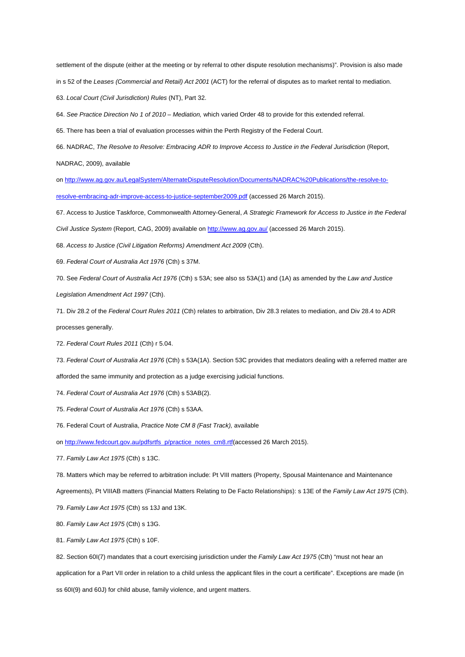settlement of the dispute (either at the meeting or by referral to other dispute resolution mechanisms)". Provision is also made in s 52 of the *Leases (Commercial and Retail) Act 2001* (ACT) for the referral of disputes as to market rental to mediation. 63. *Local Court (Civil Jurisdiction) Rules* (NT), Part 32.

64. *See Practice Direction No 1 of 2010 – Mediation,* which varied Order 48 to provide for this extended referral.

65. There has been a trial of evaluation processes within the Perth Registry of the Federal Court.

66. NADRAC, *The Resolve to Resolve: Embracing ADR to Improve Access to Justice in the Federal Jurisdiction* (Report,

NADRAC, 2009), available

on [http://www.ag.gov.au/LegalSystem/AlternateDisputeResolution/Documents/NADRAC%20Publications/the-resolve-to](http://www.ag.gov.au/LegalSystem/AlternateDisputeResolution/Documents/NADRAC%20Publications/the-resolve-to-resolve-embracing-adr-improve-access-to-justice-september2009.pdf)[resolve-embracing-adr-improve-access-to-justice-september2009.pdf](http://www.ag.gov.au/LegalSystem/AlternateDisputeResolution/Documents/NADRAC%20Publications/the-resolve-to-resolve-embracing-adr-improve-access-to-justice-september2009.pdf) (accessed 26 March 2015).

67. Access to Justice Taskforce, Commonwealth Attorney-General, *A Strategic Framework for Access to Justice in the Federal*

*Civil Justice System* (Report, CAG, 2009) available on [http://www.ag.gov.au/ \(](http://www.ag.gov.au/)accessed 26 March 2015).

68. *Access to Justice (Civil Litigation Reforms) Amendment Act 2009* (Cth).

69. *Federal Court of Australia Act 1976* (Cth) s 37M.

70. See *Federal Court of Australia Act 1976* (Cth) s 53A; see also ss 53A(1) and (1A) as amended by the *Law and Justice*

*Legislation Amendment Act 1997* (Cth).

71. Div 28.2 of the *Federal Court Rules 2011* (Cth) relates to arbitration, Div 28.3 relates to mediation, and Div 28.4 to ADR processes generally.

72. *Federal Court Rules 2011* (Cth) r 5.04.

73. *Federal Court of Australia Act 1976* (Cth) s 53A(1A). Section 53C provides that mediators dealing with a referred matter are

afforded the same immunity and protection as a judge exercising judicial functions.

74. *Federal Court of Australia Act 1976* (Cth) s 53AB(2).

75. *Federal Court of Australia Act 1976* (Cth) s 53AA.

76. Federal Court of Australia, *Practice Note CM 8 (Fast Track),* available

on [http://www.fedcourt.gov.au/pdfsrtfs\\_p/practice\\_notes\\_cm8.rtf\(a](http://www.fedcourt.gov.au/pdfsrtfs_p/practice_notes_cm8.rtf)ccessed 26 March 2015).

77. *Family Law Act 1975* (Cth) s 13C.

78. Matters which may be referred to arbitration include: Pt VIII matters (Property, Spousal Maintenance and Maintenance

Agreements), Pt VIIIAB matters (Financial Matters Relating to De Facto Relationships): s 13E of the *Family Law Act 1975* (Cth).

79. *Family Law Act 1975* (Cth) ss 13J and 13K.

80. *Family Law Act 1975* (Cth) s 13G.

81. *Family Law Act 1975* (Cth) s 10F.

82. Section 60I(7) mandates that a court exercising jurisdiction under the *Family Law Act 1975* (Cth) "must not hear an

application for a Part VII order in relation to a child unless the applicant files in the court a certificate". Exceptions are made (in ss 60I(9) and 60J) for child abuse, family violence, and urgent matters.